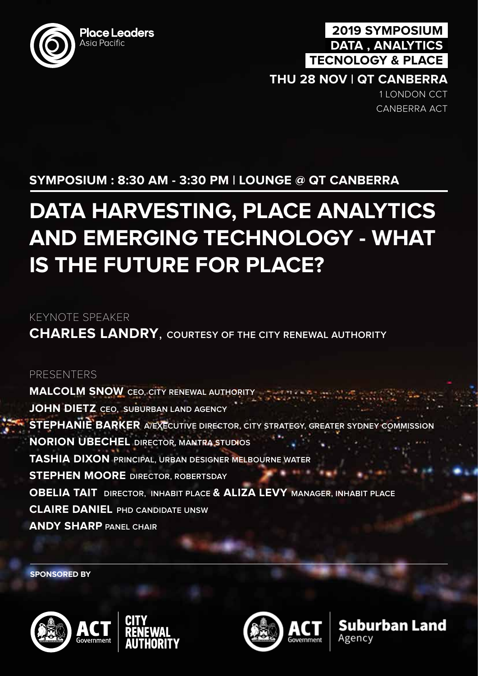

## **2019 SYMPOSIUM DATA , ANALYTICS TECNOLOGY & PLACE**

### **THU 28 NOV | QT CANBERRA**

1 LONDON CCT CANBERRA ACT

# **SYMPOSIUM : 8:30 AM - 3:30 PM | LOUNGE @ QT CANBERRA**

# **DATA HARVESTING, PLACE ANALYTICS AND EMERGING TECHNOLOGY - WHAT IS THE FUTURE FOR PLACE?**

KEYNOTE SPEAKER

**CHARLES LANDRY**, **COURTESY OF THE CITY RENEWAL AUTHORITY**

#### PRESENTERS

**MALCOLM SNOW CEO, CITY RENEWAL AUTHORITY JOHN DIETZ CEO, SUBURBAN LAND AGENCY STEPHANIE BARKER A/EXECUTIVE DIRECTOR, CITY STRATEGY, GREATER SYDNEY COMMISSION NORION UBECHEL DIRECTOR, MANTRA STUDIOS TASHIA DIXON PRINCIPAL, URBAN DESIGNER MELBOURNE WATER STEPHEN MOORE DIRECTOR, ROBERTSDAY OBELIA TAIT DIRECTOR, INHABIT PLACE & ALIZA LEVY MANAGER, INHABIT PLACE CLAIRE DANIEL PHD CANDIDATE UNSW ANDY SHARP PANEL CHAIR**

**SPONSORED BY**





Suburban Land Agencv